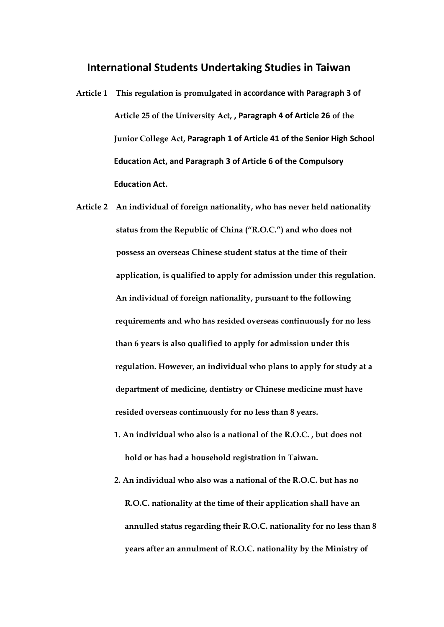## **International Students Undertaking Studies in Taiwan**

- **Article 1 This regulation is promulgated in accordance with Paragraph 3 of Article 25 of the University Act, , Paragraph 4 of Article 26 of the Junior College Act, Paragraph 1 of Article 41 of the Senior High School Education Act, and Paragraph 3 of Article 6 of the Compulsory Education Act.**
- **Article 2 An individual of foreign nationality, who has never held nationality status from the Republic of China ("R.O.C.") and who does not possess an overseas Chinese student status at the time of their application, is qualified to apply for admission under this regulation. An individual of foreign nationality, pursuant to the following requirements and who has resided overseas continuously for no less than 6 years is also qualified to apply for admission under this regulation. However, an individual who plans to apply for study at a department of medicine, dentistry or Chinese medicine must have resided overseas continuously for no less than 8 years.**
	- **1. An individual who also is a national of the R.O.C. , but does not hold or has had a household registration in Taiwan.**
	- **2. An individual who also was a national of the R.O.C. but has no R.O.C. nationality at the time of their application shall have an annulled status regarding their R.O.C. nationality for no less than 8 years after an annulment of R.O.C. nationality by the Ministry of**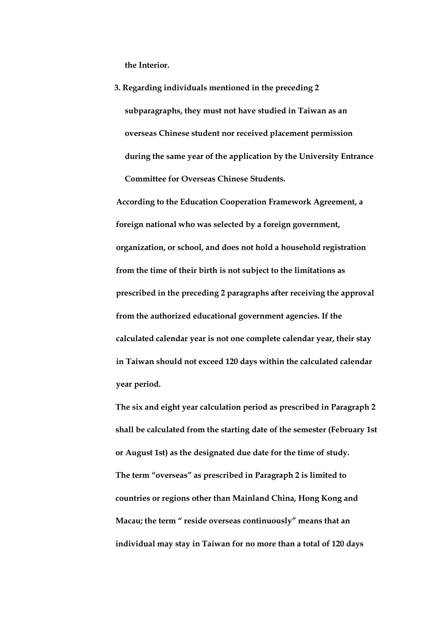**the Interior.**

**3. Regarding individuals mentioned in the preceding 2 subparagraphs, they must not have studied in Taiwan as an overseas Chinese student nor received placement permission during the same year of the application by the University Entrance Committee for Overseas Chinese Students.**

**According to the Education Cooperation Framework Agreement, a foreign national who was selected by a foreign government, organization, or school, and does not hold a household registration from the time of their birth is not subject to the limitations as prescribed in the preceding 2 paragraphs after receiving the approval from the authorized educational government agencies. If the calculated calendar year is not one complete calendar year, their stay in Taiwan should not exceed 120 days within the calculated calendar year period.**

**The six and eight year calculation period as prescribed in Paragraph 2 shall be calculated from the starting date of the semester (February 1st or August 1st) as the designated due date for the time of study. The term "overseas" as prescribed in Paragraph 2 is limited to countries or regions other than Mainland China, Hong Kong and Macau; the term " reside overseas continuously" means that an individual may stay in Taiwan for no more than a total of 120 days**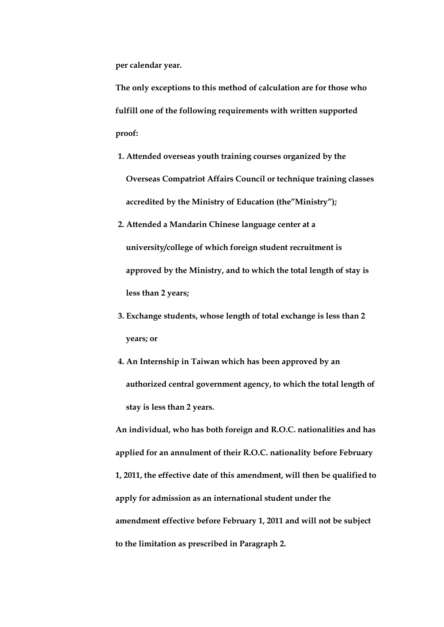**per calendar year.**

**The only exceptions to this method of calculation are for those who fulfill one of the following requirements with written supported proof:**

- **1. Attended overseas youth training courses organized by the Overseas Compatriot Affairs Council or technique training classes accredited by the Ministry of Education (the"Ministry");**
- **2. Attended a Mandarin Chinese language center at a university/college of which foreign student recruitment is approved by the Ministry, and to which the total length of stay is less than 2 years;**
- **3. Exchange students, whose length of total exchange is less than 2 years; or**
- **4. An Internship in Taiwan which has been approved by an authorized central government agency, to which the total length of stay is less than 2 years.**

**An individual, who has both foreign and R.O.C. nationalities and has applied for an annulment of their R.O.C. nationality before February 1, 2011, the effective date of this amendment, will then be qualified to apply for admission as an international student under the amendment effective before February 1, 2011 and will not be subject to the limitation as prescribed in Paragraph 2.**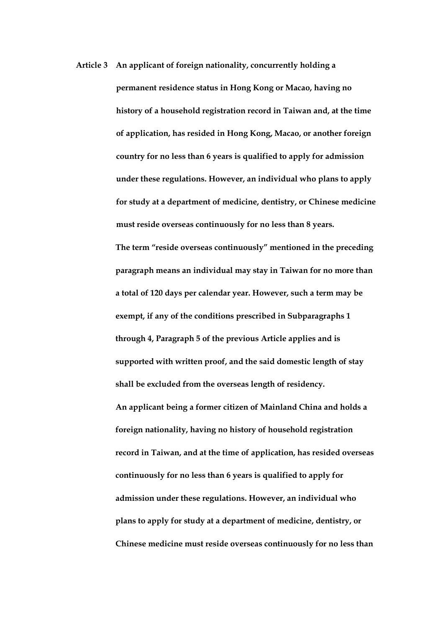**Article 3 An applicant of foreign nationality, concurrently holding a permanent residence status in Hong Kong or Macao, having no history of a household registration record in Taiwan and, at the time of application, has resided in Hong Kong, Macao, or another foreign country for no less than 6 years is qualified to apply for admission under these regulations. However, an individual who plans to apply for study at a department of medicine, dentistry, or Chinese medicine must reside overseas continuously for no less than 8 years. The term "reside overseas continuously" mentioned in the preceding paragraph means an individual may stay in Taiwan for no more than a total of 120 days per calendar year. However, such a term may be exempt, if any of the conditions prescribed in Subparagraphs 1 through 4, Paragraph 5 of the previous Article applies and is supported with written proof, and the said domestic length of stay shall be excluded from the overseas length of residency. An applicant being a former citizen of Mainland China and holds a foreign nationality, having no history of household registration record in Taiwan, and at the time of application, has resided overseas continuously for no less than 6 years is qualified to apply for admission under these regulations. However, an individual who plans to apply for study at a department of medicine, dentistry, or** 

**Chinese medicine must reside overseas continuously for no less than**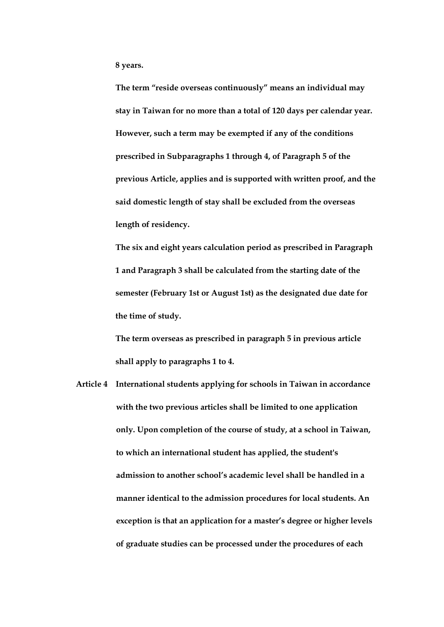**8 years.**

**The term "reside overseas continuously" means an individual may stay in Taiwan for no more than a total of 120 days per calendar year. However, such a term may be exempted if any of the conditions prescribed in Subparagraphs 1 through 4, of Paragraph 5 of the previous Article, applies and is supported with written proof, and the said domestic length of stay shall be excluded from the overseas length of residency.**

**The six and eight years calculation period as prescribed in Paragraph 1 and Paragraph 3 shall be calculated from the starting date of the semester (February 1st or August 1st) as the designated due date for the time of study.**

**The term overseas as prescribed in paragraph 5 in previous article shall apply to paragraphs 1 to 4.**

**Article 4 International students applying for schools in Taiwan in accordance with the two previous articles shall be limited to one application only. Upon completion of the course of study, at a school in Taiwan, to which an international student has applied, the student's admission to another school's academic level shall be handled in a manner identical to the admission procedures for local students. An exception is that an application for a master's degree or higher levels of graduate studies can be processed under the procedures of each**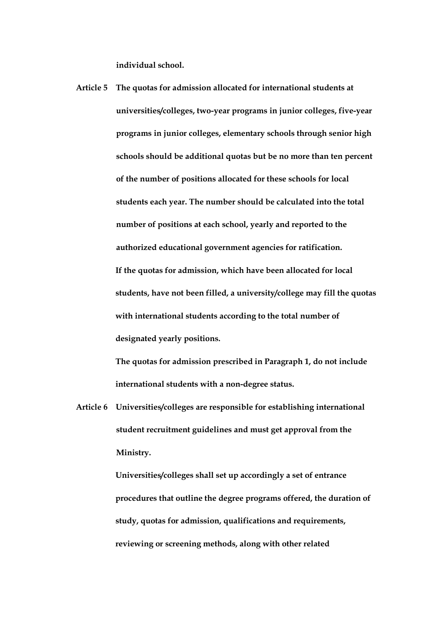**individual school.**

**Article 5 The quotas for admission allocated for international students at universities/colleges, two-year programs in junior colleges, five-year programs in junior colleges, elementary schools through senior high schools should be additional quotas but be no more than ten percent of the number of positions allocated for these schools for local students each year. The number should be calculated into the total number of positions at each school, yearly and reported to the authorized educational government agencies for ratification. If the quotas for admission, which have been allocated for local students, have not been filled, a university/college may fill the quotas with international students according to the total number of designated yearly positions.**

> **The quotas for admission prescribed in Paragraph 1, do not include international students with a non-degree status.**

**Article 6 Universities/colleges are responsible for establishing international student recruitment guidelines and must get approval from the Ministry.**

> **Universities/colleges shall set up accordingly a set of entrance procedures that outline the degree programs offered, the duration of study, quotas for admission, qualifications and requirements, reviewing or screening methods, along with other related**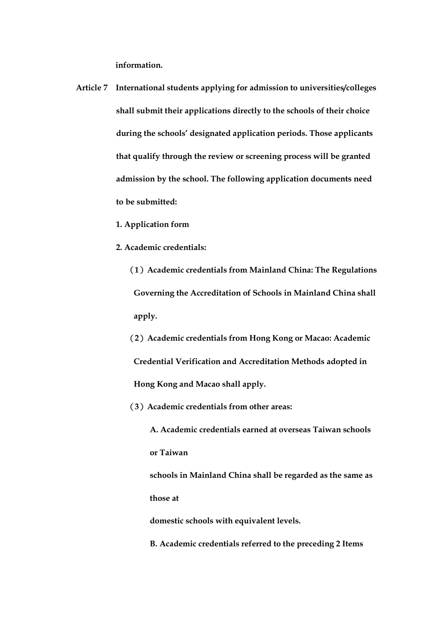**information.**

- **Article 7 International students applying for admission to universities/colleges shall submit their applications directly to the schools of their choice during the schools' designated application periods. Those applicants that qualify through the review or screening process will be granted admission by the school. The following application documents need to be submitted:**
	- **1. Application form**
	- **2. Academic credentials:**
		- (**1**)**Academic credentials from Mainland China: The Regulations Governing the Accreditation of Schools in Mainland China shall apply.**
		- (**2**)**Academic credentials from Hong Kong or Macao: Academic Credential Verification and Accreditation Methods adopted in Hong Kong and Macao shall apply.**
		- (**3**)**Academic credentials from other areas:**
			- **A. Academic credentials earned at overseas Taiwan schools or Taiwan**
			- **schools in Mainland China shall be regarded as the same as those at**
			- **domestic schools with equivalent levels.**
			- **B. Academic credentials referred to the preceding 2 Items**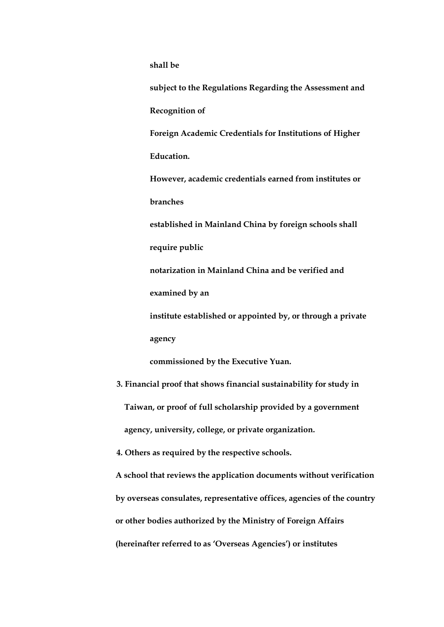**shall be**

**subject to the Regulations Regarding the Assessment and Recognition of Foreign Academic Credentials for Institutions of Higher Education. However, academic credentials earned from institutes or branches established in Mainland China by foreign schools shall require public notarization in Mainland China and be verified and examined by an institute established or appointed by, or through a private agency commissioned by the Executive Yuan. 3. Financial proof that shows financial sustainability for study in Taiwan, or proof of full scholarship provided by a government agency, university, college, or private organization.**

**4. Others as required by the respective schools.**

**A school that reviews the application documents without verification by overseas consulates, representative offices, agencies of the country or other bodies authorized by the Ministry of Foreign Affairs (hereinafter referred to as 'Overseas Agencies') or institutes**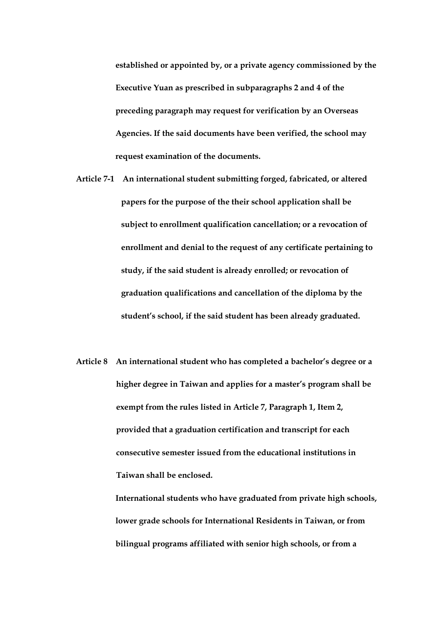**established or appointed by, or a private agency commissioned by the Executive Yuan as prescribed in subparagraphs 2 and 4 of the preceding paragraph may request for verification by an Overseas Agencies. If the said documents have been verified, the school may request examination of the documents.**

- **Article 7-1 An international student submitting forged, fabricated, or altered papers for the purpose of the their school application shall be subject to enrollment qualification cancellation; or a revocation of enrollment and denial to the request of any certificate pertaining to study, if the said student is already enrolled; or revocation of graduation qualifications and cancellation of the diploma by the student's school, if the said student has been already graduated.**
- **Article 8 An international student who has completed a bachelor's degree or a higher degree in Taiwan and applies for a master's program shall be exempt from the rules listed in Article 7, Paragraph 1, Item 2, provided that a graduation certification and transcript for each consecutive semester issued from the educational institutions in Taiwan shall be enclosed.**

**International students who have graduated from private high schools, lower grade schools for International Residents in Taiwan, or from bilingual programs affiliated with senior high schools, or from a**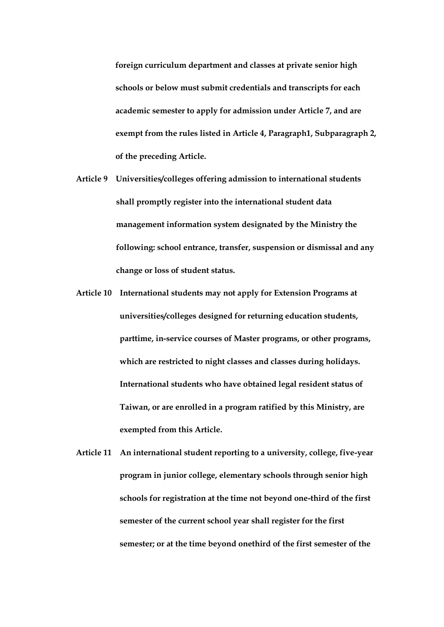**foreign curriculum department and classes at private senior high schools or below must submit credentials and transcripts for each academic semester to apply for admission under Article 7, and are exempt from the rules listed in Article 4, Paragraph1, Subparagraph 2, of the preceding Article.**

- **Article 9 Universities/colleges offering admission to international students shall promptly register into the international student data management information system designated by the Ministry the following: school entrance, transfer, suspension or dismissal and any change or loss of student status.**
- **Article 10 International students may not apply for Extension Programs at universities/colleges designed for returning education students, parttime, in-service courses of Master programs, or other programs, which are restricted to night classes and classes during holidays. International students who have obtained legal resident status of Taiwan, or are enrolled in a program ratified by this Ministry, are exempted from this Article.**
- **Article 11 An international student reporting to a university, college, five-year program in junior college, elementary schools through senior high schools for registration at the time not beyond one-third of the first semester of the current school year shall register for the first semester; or at the time beyond onethird of the first semester of the**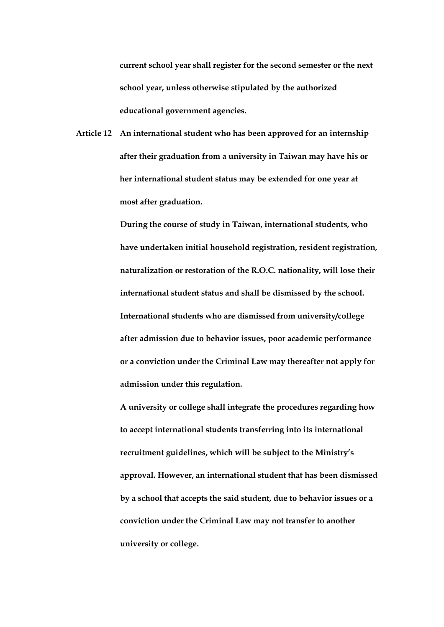**current school year shall register for the second semester or the next school year, unless otherwise stipulated by the authorized educational government agencies.**

**Article 12 An international student who has been approved for an internship after their graduation from a university in Taiwan may have his or her international student status may be extended for one year at most after graduation.**

> **During the course of study in Taiwan, international students, who have undertaken initial household registration, resident registration, naturalization or restoration of the R.O.C. nationality, will lose their international student status and shall be dismissed by the school. International students who are dismissed from university/college after admission due to behavior issues, poor academic performance or a conviction under the Criminal Law may thereafter not apply for admission under this regulation.**

> **A university or college shall integrate the procedures regarding how to accept international students transferring into its international recruitment guidelines, which will be subject to the Ministry's approval. However, an international student that has been dismissed by a school that accepts the said student, due to behavior issues or a conviction under the Criminal Law may not transfer to another university or college.**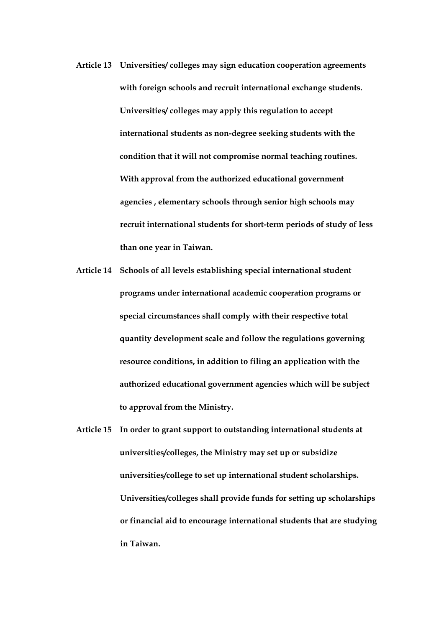- **Article 13 Universities/ colleges may sign education cooperation agreements with foreign schools and recruit international exchange students. Universities/ colleges may apply this regulation to accept international students as non-degree seeking students with the condition that it will not compromise normal teaching routines. With approval from the authorized educational government agencies , elementary schools through senior high schools may recruit international students for short-term periods of study of less than one year in Taiwan.**
- **Article 14 Schools of all levels establishing special international student programs under international academic cooperation programs or special circumstances shall comply with their respective total quantity development scale and follow the regulations governing resource conditions, in addition to filing an application with the authorized educational government agencies which will be subject to approval from the Ministry.**
- **Article 15 In order to grant support to outstanding international students at universities/colleges, the Ministry may set up or subsidize universities/college to set up international student scholarships. Universities/colleges shall provide funds for setting up scholarships or financial aid to encourage international students that are studying in Taiwan.**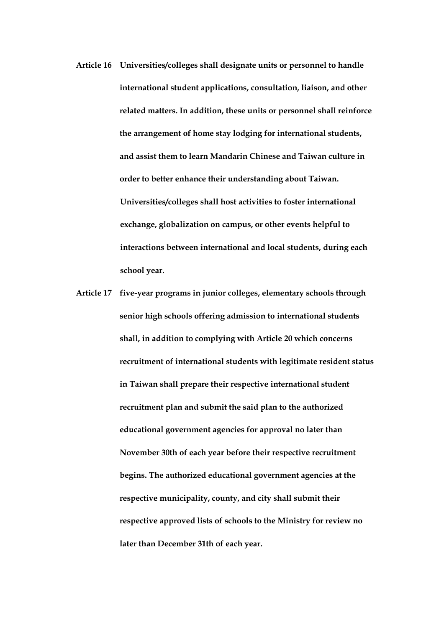- **Article 16 Universities/colleges shall designate units or personnel to handle international student applications, consultation, liaison, and other related matters. In addition, these units or personnel shall reinforce the arrangement of home stay lodging for international students, and assist them to learn Mandarin Chinese and Taiwan culture in order to better enhance their understanding about Taiwan. Universities/colleges shall host activities to foster international exchange, globalization on campus, or other events helpful to interactions between international and local students, during each school year.**
- **Article 17 five-year programs in junior colleges, elementary schools through senior high schools offering admission to international students shall, in addition to complying with Article 20 which concerns recruitment of international students with legitimate resident status in Taiwan shall prepare their respective international student recruitment plan and submit the said plan to the authorized educational government agencies for approval no later than November 30th of each year before their respective recruitment begins. The authorized educational government agencies at the respective municipality, county, and city shall submit their respective approved lists of schools to the Ministry for review no later than December 31th of each year.**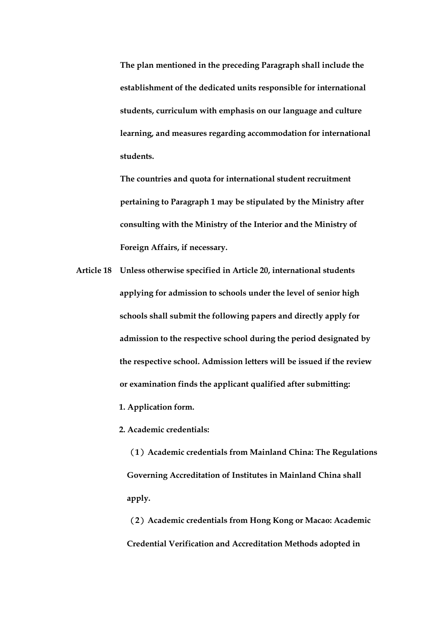**The plan mentioned in the preceding Paragraph shall include the establishment of the dedicated units responsible for international students, curriculum with emphasis on our language and culture learning, and measures regarding accommodation for international students.**

**The countries and quota for international student recruitment pertaining to Paragraph 1 may be stipulated by the Ministry after consulting with the Ministry of the Interior and the Ministry of Foreign Affairs, if necessary.**

**Article 18 Unless otherwise specified in Article 20, international students applying for admission to schools under the level of senior high schools shall submit the following papers and directly apply for admission to the respective school during the period designated by the respective school. Admission letters will be issued if the review or examination finds the applicant qualified after submitting:**

**1. Application form.**

**2. Academic credentials:**

(**1**)**Academic credentials from Mainland China: The Regulations Governing Accreditation of Institutes in Mainland China shall apply.**

(**2**)**Academic credentials from Hong Kong or Macao: Academic Credential Verification and Accreditation Methods adopted in**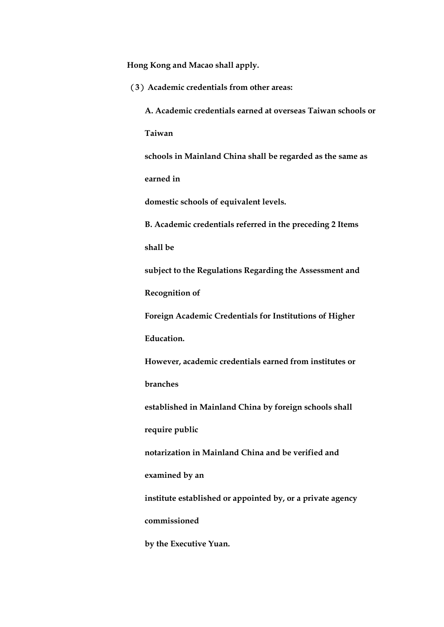**Hong Kong and Macao shall apply.**

(**3**)**Academic credentials from other areas: A. Academic credentials earned at overseas Taiwan schools or Taiwan schools in Mainland China shall be regarded as the same as earned in domestic schools of equivalent levels. B. Academic credentials referred in the preceding 2 Items shall be subject to the Regulations Regarding the Assessment and Recognition of Foreign Academic Credentials for Institutions of Higher Education. However, academic credentials earned from institutes or branches established in Mainland China by foreign schools shall require public notarization in Mainland China and be verified and examined by an institute established or appointed by, or a private agency commissioned by the Executive Yuan.**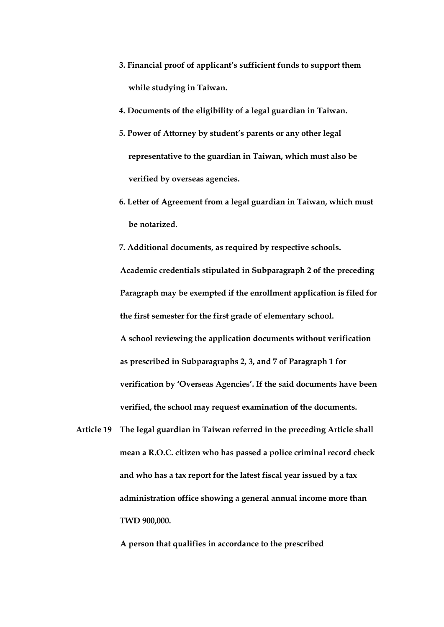- **3. Financial proof of applicant's sufficient funds to support them while studying in Taiwan.**
- **4. Documents of the eligibility of a legal guardian in Taiwan.**
- **5. Power of Attorney by student's parents or any other legal representative to the guardian in Taiwan, which must also be verified by overseas agencies.**
- **6. Letter of Agreement from a legal guardian in Taiwan, which must be notarized.**

**7. Additional documents, as required by respective schools. Academic credentials stipulated in Subparagraph 2 of the preceding Paragraph may be exempted if the enrollment application is filed for the first semester for the first grade of elementary school. A school reviewing the application documents without verification as prescribed in Subparagraphs 2, 3, and 7 of Paragraph 1 for verification by 'Overseas Agencies'. If the said documents have been verified, the school may request examination of the documents.**

**Article 19 The legal guardian in Taiwan referred in the preceding Article shall mean a R.O.C. citizen who has passed a police criminal record check and who has a tax report for the latest fiscal year issued by a tax administration office showing a general annual income more than TWD 900,000.**

**A person that qualifies in accordance to the prescribed**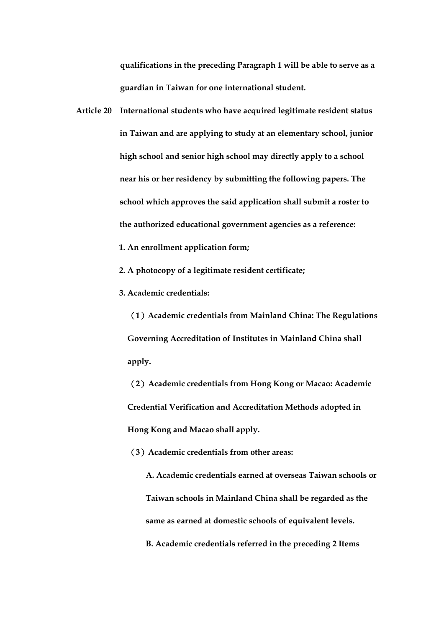**qualifications in the preceding Paragraph 1 will be able to serve as a guardian in Taiwan for one international student.**

- **Article 20 International students who have acquired legitimate resident status in Taiwan and are applying to study at an elementary school, junior high school and senior high school may directly apply to a school near his or her residency by submitting the following papers. The school which approves the said application shall submit a roster to the authorized educational government agencies as a reference:**
	- **1. An enrollment application form;**
	- **2. A photocopy of a legitimate resident certificate;**
	- **3. Academic credentials:**

(**1**)**Academic credentials from Mainland China: The Regulations Governing Accreditation of Institutes in Mainland China shall apply.**

(**2**)**Academic credentials from Hong Kong or Macao: Academic Credential Verification and Accreditation Methods adopted in Hong Kong and Macao shall apply.**

(**3**)**Academic credentials from other areas:**

**A. Academic credentials earned at overseas Taiwan schools or Taiwan schools in Mainland China shall be regarded as the same as earned at domestic schools of equivalent levels. B. Academic credentials referred in the preceding 2 Items**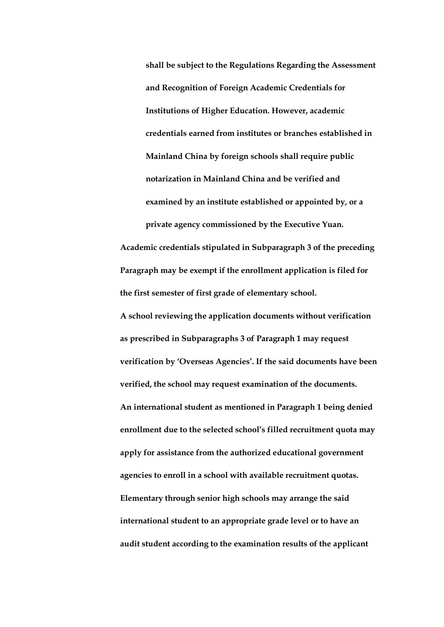**shall be subject to the Regulations Regarding the Assessment and Recognition of Foreign Academic Credentials for Institutions of Higher Education. However, academic credentials earned from institutes or branches established in Mainland China by foreign schools shall require public notarization in Mainland China and be verified and examined by an institute established or appointed by, or a private agency commissioned by the Executive Yuan.**

**Academic credentials stipulated in Subparagraph 3 of the preceding Paragraph may be exempt if the enrollment application is filed for the first semester of first grade of elementary school.**

**A school reviewing the application documents without verification as prescribed in Subparagraphs 3 of Paragraph 1 may request verification by 'Overseas Agencies'. If the said documents have been verified, the school may request examination of the documents. An international student as mentioned in Paragraph 1 being denied enrollment due to the selected school's filled recruitment quota may apply for assistance from the authorized educational government agencies to enroll in a school with available recruitment quotas. Elementary through senior high schools may arrange the said international student to an appropriate grade level or to have an audit student according to the examination results of the applicant**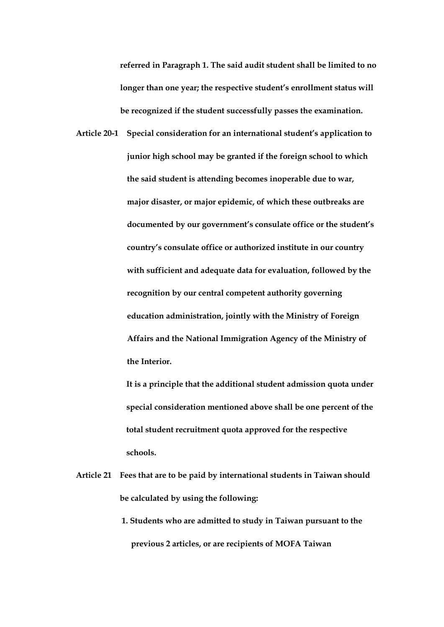**referred in Paragraph 1. The said audit student shall be limited to no longer than one year; the respective student's enrollment status will be recognized if the student successfully passes the examination.**

**Article 20-1 Special consideration for an international student's application to junior high school may be granted if the foreign school to which the said student is attending becomes inoperable due to war, major disaster, or major epidemic, of which these outbreaks are documented by our government's consulate office or the student's country's consulate office or authorized institute in our country with sufficient and adequate data for evaluation, followed by the recognition by our central competent authority governing education administration, jointly with the Ministry of Foreign Affairs and the National Immigration Agency of the Ministry of the Interior.**

> **It is a principle that the additional student admission quota under special consideration mentioned above shall be one percent of the total student recruitment quota approved for the respective schools.**

- **Article 21 Fees that are to be paid by international students in Taiwan should be calculated by using the following:**
	- **1. Students who are admitted to study in Taiwan pursuant to the previous 2 articles, or are recipients of MOFA Taiwan**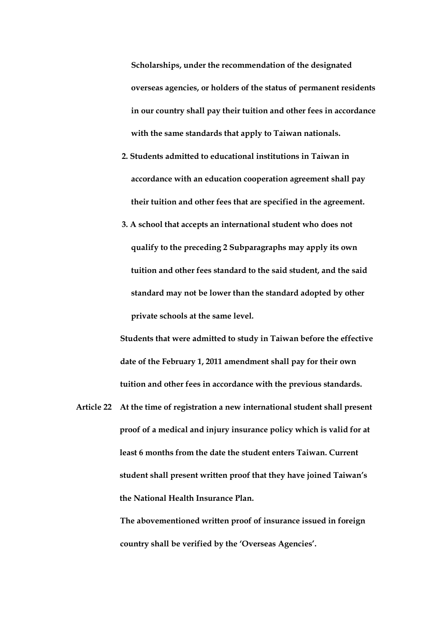**Scholarships, under the recommendation of the designated overseas agencies, or holders of the status of permanent residents in our country shall pay their tuition and other fees in accordance with the same standards that apply to Taiwan nationals.**

- **2. Students admitted to educational institutions in Taiwan in accordance with an education cooperation agreement shall pay their tuition and other fees that are specified in the agreement.**
- **3. A school that accepts an international student who does not qualify to the preceding 2 Subparagraphs may apply its own tuition and other fees standard to the said student, and the said standard may not be lower than the standard adopted by other private schools at the same level.**

**Students that were admitted to study in Taiwan before the effective date of the February 1, 2011 amendment shall pay for their own tuition and other fees in accordance with the previous standards.**

**Article 22 At the time of registration a new international student shall present proof of a medical and injury insurance policy which is valid for at least 6 months from the date the student enters Taiwan. Current student shall present written proof that they have joined Taiwan's the National Health Insurance Plan.**

> **The abovementioned written proof of insurance issued in foreign country shall be verified by the 'Overseas Agencies'.**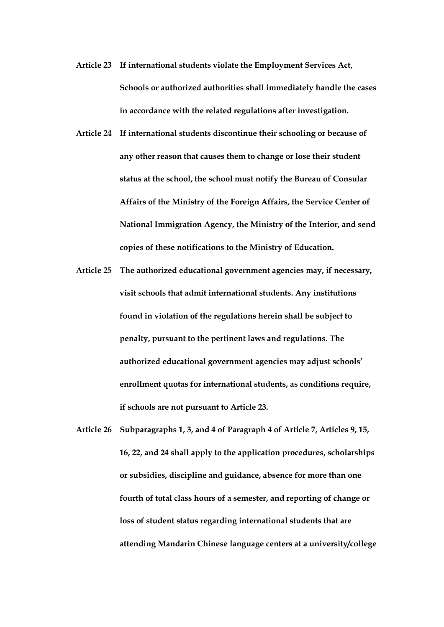- **Article 23 If international students violate the Employment Services Act, Schools or authorized authorities shall immediately handle the cases in accordance with the related regulations after investigation.**
- **Article 24 If international students discontinue their schooling or because of any other reason that causes them to change or lose their student status at the school, the school must notify the Bureau of Consular Affairs of the Ministry of the Foreign Affairs, the Service Center of National Immigration Agency, the Ministry of the Interior, and send copies of these notifications to the Ministry of Education.**
- **Article 25 The authorized educational government agencies may, if necessary, visit schools that admit international students. Any institutions found in violation of the regulations herein shall be subject to penalty, pursuant to the pertinent laws and regulations. The authorized educational government agencies may adjust schools' enrollment quotas for international students, as conditions require, if schools are not pursuant to Article 23.**
- **Article 26 Subparagraphs 1, 3, and 4 of Paragraph 4 of Article 7, Articles 9, 15, 16, 22, and 24 shall apply to the application procedures, scholarships or subsidies, discipline and guidance, absence for more than one fourth of total class hours of a semester, and reporting of change or loss of student status regarding international students that are attending Mandarin Chinese language centers at a university/college**